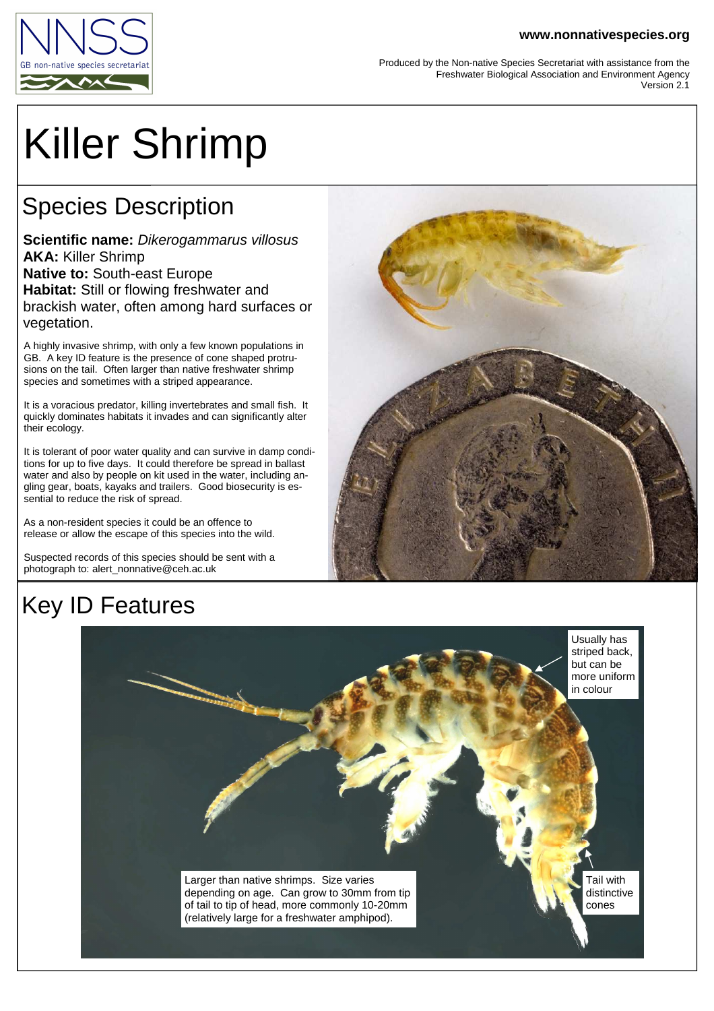#### **www.nonnativespecies.org**



Produced by the Non-native Species Secretariat with assistance from the Freshwater Biological Association and Environment Agency Version 2.1

# Killer Shrimp

## Species Description

**Scientific name:** Dikerogammarus villosus **AKA:** Killer Shrimp **Native to:** South-east Europe **Habitat:** Still or flowing freshwater and brackish water, often among hard surfaces or vegetation.

A highly invasive shrimp, with only a few known populations in GB. A key ID feature is the presence of cone shaped protrusions on the tail. Often larger than native freshwater shrimp species and sometimes with a striped appearance.

It is a voracious predator, killing invertebrates and small fish. It quickly dominates habitats it invades and can significantly alter their ecology.

It is tolerant of poor water quality and can survive in damp conditions for up to five days. It could therefore be spread in ballast water and also by people on kit used in the water, including angling gear, boats, kayaks and trailers. Good biosecurity is essential to reduce the risk of spread.

As a non-resident species it could be an offence to release or allow the escape of this species into the wild.

Suspected records of this species should be sent with a photograph to: alert\_nonnative@ceh.ac.uk



## Key ID Features